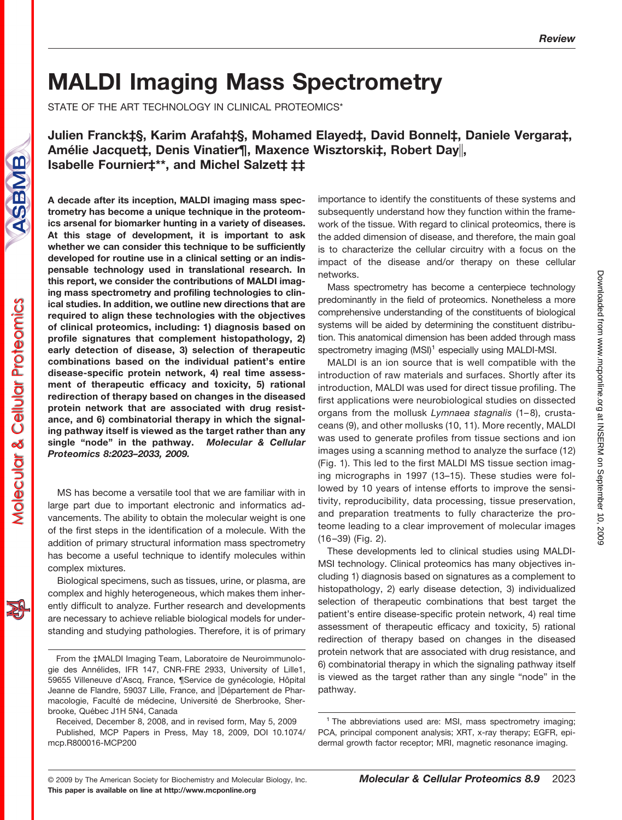Downloadedfrom [www.mcponline.org](http://www.mcponline.org) at INSERM on September 10, 2009

Downloaded from www.mcponline.org at INSERM on September 10, 2009

# **MALDI Imaging Mass Spectrometry**

STATE OF THE ART TECHNOLOGY IN CLINICAL PROTEOMICS\*

**Julien Franck‡§, Karim Arafah‡§, Mohamed Elayed‡, David Bonnel‡, Daniele Vergara‡, Ame´ lie Jacquet‡, Denis Vinatier¶, Maxence Wisztorski‡, Robert Day, Isabelle Fournier‡\*\*, and Michel Salzet‡ ‡‡**

**A decade after its inception, MALDI imaging mass spectrometry has become a unique technique in the proteomics arsenal for biomarker hunting in a variety of diseases. At this stage of development, it is important to ask whether we can consider this technique to be sufficiently developed for routine use in a clinical setting or an indispensable technology used in translational research. In this report, we consider the contributions of MALDI imaging mass spectrometry and profiling technologies to clinical studies. In addition, we outline new directions that are required to align these technologies with the objectives of clinical proteomics, including: 1) diagnosis based on profile signatures that complement histopathology, 2) early detection of disease, 3) selection of therapeutic combinations based on the individual patient's entire disease-specific protein network, 4) real time assessment of therapeutic efficacy and toxicity, 5) rational redirection of therapy based on changes in the diseased protein network that are associated with drug resistance, and 6) combinatorial therapy in which the signaling pathway itself is viewed as the target rather than any single "node" in the pathway.** *Molecular & Cellular Proteomics 8:2023–2033, 2009.*

MS has become a versatile tool that we are familiar with in large part due to important electronic and informatics advancements. The ability to obtain the molecular weight is one of the first steps in the identification of a molecule. With the addition of primary structural information mass spectrometry has become a useful technique to identify molecules within complex mixtures.

Biological specimens, such as tissues, urine, or plasma, are complex and highly heterogeneous, which makes them inherently difficult to analyze. Further research and developments are necessary to achieve reliable biological models for understanding and studying pathologies. Therefore, it is of primary importance to identify the constituents of these systems and subsequently understand how they function within the framework of the tissue. With regard to clinical proteomics, there is the added dimension of disease, and therefore, the main goal is to characterize the cellular circuitry with a focus on the impact of the disease and/or therapy on these cellular networks.

Mass spectrometry has become a centerpiece technology predominantly in the field of proteomics. Nonetheless a more comprehensive understanding of the constituents of biological systems will be aided by determining the constituent distribution. This anatomical dimension has been added through mass spectrometry imaging (MSI)<sup>1</sup> especially using MALDI-MSI.

MALDI is an ion source that is well compatible with the introduction of raw materials and surfaces. Shortly after its introduction, MALDI was used for direct tissue profiling. The first applications were neurobiological studies on dissected organs from the mollusk *Lymnaea stagnalis* (1– 8), crustaceans (9), and other mollusks (10, 11). More recently, MALDI was used to generate profiles from tissue sections and ion images using a scanning method to analyze the surface (12) (Fig. 1). This led to the first MALDI MS tissue section imaging micrographs in 1997 (13–15). These studies were followed by 10 years of intense efforts to improve the sensitivity, reproducibility, data processing, tissue preservation, and preparation treatments to fully characterize the proteome leading to a clear improvement of molecular images (16 –39) (Fig. 2).

These developments led to clinical studies using MALDI-MSI technology. Clinical proteomics has many objectives including 1) diagnosis based on signatures as a complement to histopathology, 2) early disease detection, 3) individualized selection of therapeutic combinations that best target the patient's entire disease-specific protein network, 4) real time assessment of therapeutic efficacy and toxicity, 5) rational redirection of therapy based on changes in the diseased protein network that are associated with drug resistance, and 6) combinatorial therapy in which the signaling pathway itself is viewed as the target rather than any single "node" in the pathway.

From the ‡MALDI Imaging Team, Laboratoire de Neuroimmunologie des Annélides, IFR 147, CNR-FRE 2933, University of Lille1, 59655 Villeneuve d'Ascq, France, ¶Service de gynécologie, Hôpital Jeanne de Flandre, 59037 Lille, France, and Département de Pharmacologie, Faculté de médecine, Université de Sherbrooke, Sherbrooke, Québec J1H 5N4, Canada

Received, December 8, 2008, and in revised form, May 5, 2009 Published, MCP Papers in Press, May 18, 2009, DOI 10.1074/ mcp.R800016-MCP200

 $1$  The abbreviations used are: MSI, mass spectrometry imaging; PCA, principal component analysis; XRT, x-ray therapy; EGFR, epidermal growth factor receptor; MRI, magnetic resonance imaging.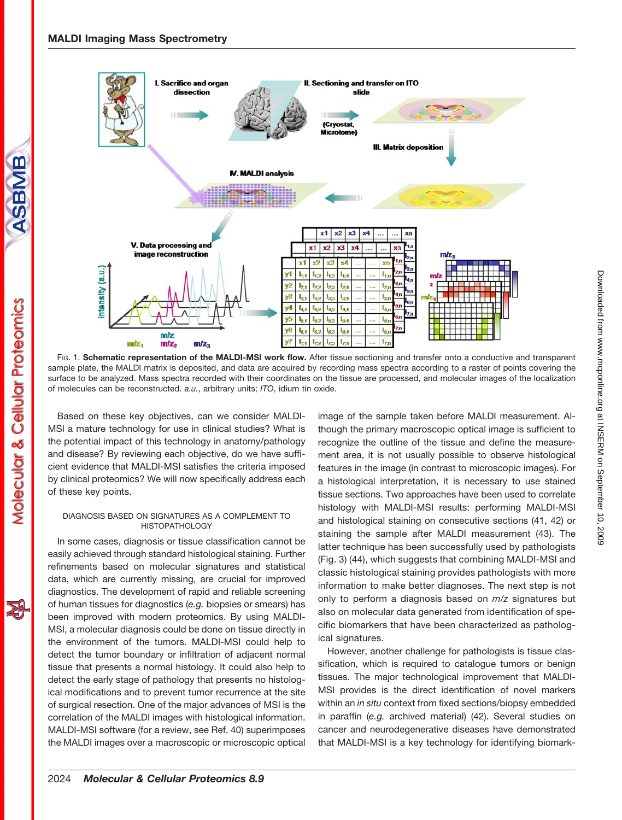# **MALDI Imaging Mass Spectrometry**

Molecular & Cellular Proteomics



FIG. 1. **Schematic representation of the MALDI-MSI work flow.** After tissue sectioning and transfer onto a conductive and transparent sample plate, the MALDI matrix is deposited, and data are acquired by recording mass spectra according to a raster of points covering the surface to be analyzed. Mass spectra recorded with their coordinates on the tissue are processed, and molecular images of the localization of molecules can be reconstructed. *a.u.*, arbitrary units; *ITO*, idium tin oxide.

Based on these key objectives, can we consider MALDI-MSI a mature technology for use in clinical studies? What is the potential impact of this technology in anatomy/pathology and disease? By reviewing each objective, do we have sufficient evidence that MALDI-MSI satisfies the criteria imposed by clinical proteomics? We will now specifically address each of these key points.

#### DIAGNOSIS BASED ON SIGNATURES AS A COMPLEMENT TO **HISTOPATHOLOGY**

In some cases, diagnosis or tissue classification cannot be easily achieved through standard histological staining. Further refinements based on molecular signatures and statistical data, which are currently missing, are crucial for improved diagnostics. The development of rapid and reliable screening of human tissues for diagnostics (*e.g.* biopsies or smears) has been improved with modern proteomics. By using MALDI-MSI, a molecular diagnosis could be done on tissue directly in the environment of the tumors. MALDI-MSI could help to detect the tumor boundary or infiltration of adjacent normal tissue that presents a normal histology. It could also help to detect the early stage of pathology that presents no histological modifications and to prevent tumor recurrence at the site of surgical resection. One of the major advances of MSI is the correlation of the MALDI images with histological information. MALDI-MSI software (for a review, see Ref. 40) superimposes the MALDI images over a macroscopic or microscopic optical

image of the sample taken before MALDI measurement. Although the primary macroscopic optical image is sufficient to recognize the outline of the tissue and define the measurement area, it is not usually possible to observe histological features in the image (in contrast to microscopic images). For a histological interpretation, it is necessary to use stained tissue sections. Two approaches have been used to correlate histology with MALDI-MSI results: performing MALDI-MSI and histological staining on consecutive sections (41, 42) or staining the sample after MALDI measurement (43). The latter technique has been successfully used by pathologists (Fig. 3) (44), which suggests that combining MALDI-MSI and classic histological staining provides pathologists with more information to make better diagnoses. The next step is not only to perform a diagnosis based on *m*/*z* signatures but also on molecular data generated from identification of specific biomarkers that have been characterized as pathological signatures.

However, another challenge for pathologists is tissue classification, which is required to catalogue tumors or benign tissues. The major technological improvement that MALDI-MSI provides is the direct identification of novel markers within an *in situ* context from fixed sections/biopsy embedded in paraffin (*e.g.* archived material) (42). Several studies on cancer and neurodegenerative diseases have demonstrated that MALDI-MSI is a key technology for identifying biomark-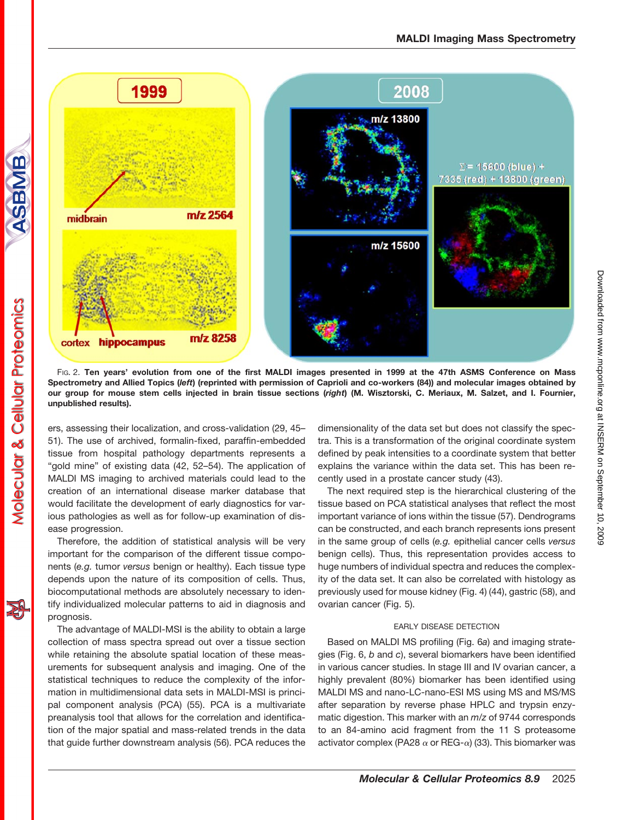

FIG. 2. **Ten years' evolution from one of the first MALDI images presented in 1999 at the 47th ASMS Conference on Mass Spectrometry and Allied Topics (***left***) (reprinted with permission of Caprioli and co-workers (84)) and molecular images obtained by our group for mouse stem cells injected in brain tissue sections (***right***) (M. Wisztorski, C. Meriaux, M. Salzet, and I. Fournier, unpublished results).**

ers, assessing their localization, and cross-validation (29, 45– 51). The use of archived, formalin-fixed, paraffin-embedded tissue from hospital pathology departments represents a "gold mine" of existing data (42, 52–54). The application of MALDI MS imaging to archived materials could lead to the creation of an international disease marker database that would facilitate the development of early diagnostics for various pathologies as well as for follow-up examination of disease progression.

Therefore, the addition of statistical analysis will be very important for the comparison of the different tissue components (*e.g.* tumor *versus* benign or healthy). Each tissue type depends upon the nature of its composition of cells. Thus, biocomputational methods are absolutely necessary to identify individualized molecular patterns to aid in diagnosis and prognosis.

The advantage of MALDI-MSI is the ability to obtain a large collection of mass spectra spread out over a tissue section while retaining the absolute spatial location of these measurements for subsequent analysis and imaging. One of the statistical techniques to reduce the complexity of the information in multidimensional data sets in MALDI-MSI is principal component analysis (PCA) (55). PCA is a multivariate preanalysis tool that allows for the correlation and identification of the major spatial and mass-related trends in the data that guide further downstream analysis (56). PCA reduces the dimensionality of the data set but does not classify the spectra. This is a transformation of the original coordinate system defined by peak intensities to a coordinate system that better explains the variance within the data set. This has been recently used in a prostate cancer study (43).

The next required step is the hierarchical clustering of the tissue based on PCA statistical analyses that reflect the most important variance of ions within the tissue (57). Dendrograms can be constructed, and each branch represents ions present in the same group of cells (*e.g.* epithelial cancer cells *versus* benign cells). Thus, this representation provides access to huge numbers of individual spectra and reduces the complexity of the data set. It can also be correlated with histology as previously used for mouse kidney (Fig. 4) (44), gastric (58), and ovarian cancer (Fig. 5).

### EARLY DISEASE DETECTION

Based on MALDI MS profiling (Fig. 6*a*) and imaging strategies (Fig. 6, *b* and *c*), several biomarkers have been identified in various cancer studies. In stage III and IV ovarian cancer, a highly prevalent (80%) biomarker has been identified using MALDI MS and nano-LC-nano-ESI MS using MS and MS/MS after separation by reverse phase HPLC and trypsin enzymatic digestion. This marker with an *m*/*z* of 9744 corresponds to an 84-amino acid fragment from the 11 S proteasome activator complex (PA28  $\alpha$  or REG- $\alpha$ ) (33). This biomarker was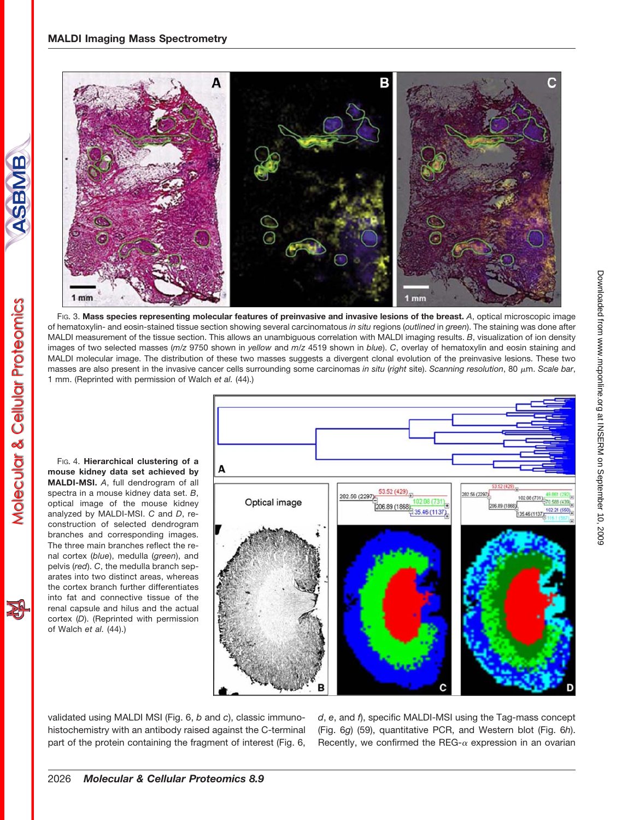

FIG. 3. **Mass species representing molecular features of preinvasive and invasive lesions of the breast.** *A*, optical microscopic image of hematoxylin- and eosin-stained tissue section showing several carcinomatous *in situ* regions (*outlined* in *green*). The staining was done after MALDI measurement of the tissue section. This allows an unambiguous correlation with MALDI imaging results. *B*, visualization of ion density images of two selected masses (*m*/*z* 9750 shown in *yellow* and *m*/*z* 4519 shown in *blue*). *C*, overlay of hematoxylin and eosin staining and MALDI molecular image. The distribution of these two masses suggests a divergent clonal evolution of the preinvasive lesions. These two masses are also present in the invasive cancer cells surrounding some carcinomas in situ (right site). Scanning resolution, 80 µm. Scale bar, 1 mm. (Reprinted with permission of Walch *et al.* (44).)

FIG. 4. **Hierarchical clustering of a mouse kidney data set achieved by MALDI-MSI.** *A*, full dendrogram of all spectra in a mouse kidney data set. *B*, optical image of the mouse kidney analyzed by MALDI-MSI. *C* and *D*, reconstruction of selected dendrogram branches and corresponding images. The three main branches reflect the renal cortex (*blue*), medulla (*green*), and pelvis (*red*). *C*, the medulla branch separates into two distinct areas, whereas the cortex branch further differentiates into fat and connective tissue of the renal capsule and hilus and the actual cortex (*D*). (Reprinted with permission of Walch *et al.* (44).)



validated using MALDI MSI (Fig. 6, *b* and *c*), classic immunohistochemistry with an antibody raised against the C-terminal part of the protein containing the fragment of interest (Fig. 6, *d*, *e*, and *f*), specific MALDI-MSI using the Tag-mass concept (Fig. 6*g*) (59), quantitative PCR, and Western blot (Fig. 6*h*). Recently, we confirmed the REG- $\alpha$  expression in an ovarian

ASBMB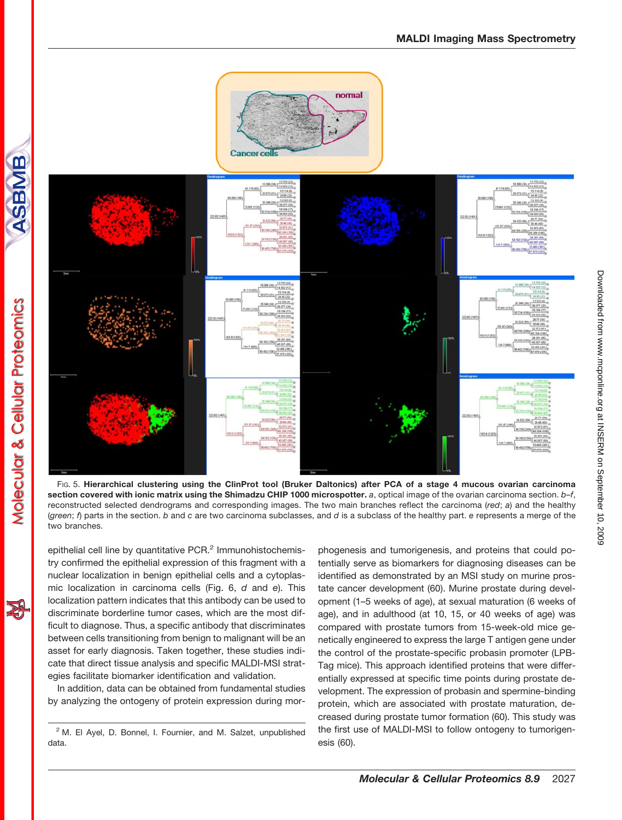

FIG. 5. **Hierarchical clustering using the ClinProt tool (Bruker Daltonics) after PCA of a stage 4 mucous ovarian carcinoma section covered with ionic matrix using the Shimadzu CHIP 1000 microspotter.** *a*, optical image of the ovarian carcinoma section. *b–f*, reconstructed selected dendrograms and corresponding images. The two main branches reflect the carcinoma (*red*; *a*) and the healthy (*green*; *f*) parts in the section. *b* and *c* are two carcinoma subclasses, and *d* is a subclass of the healthy part. *e* represents a merge of the two branches.

epithelial cell line by quantitative PCR.<sup>2</sup> Immunohistochemistry confirmed the epithelial expression of this fragment with a nuclear localization in benign epithelial cells and a cytoplasmic localization in carcinoma cells (Fig. 6, *d* and *e*). This localization pattern indicates that this antibody can be used to discriminate borderline tumor cases, which are the most difficult to diagnose. Thus, a specific antibody that discriminates between cells transitioning from benign to malignant will be an asset for early diagnosis. Taken together, these studies indicate that direct tissue analysis and specific MALDI-MSI strategies facilitate biomarker identification and validation.

ASBMB

**Molecular & Cellular Proteomics** 

In addition, data can be obtained from fundamental studies by analyzing the ontogeny of protein expression during mor-

<sup>2</sup> M. El Ayel, D. Bonnel, I. Fournier, and M. Salzet, unpublished data.

phogenesis and tumorigenesis, and proteins that could potentially serve as biomarkers for diagnosing diseases can be identified as demonstrated by an MSI study on murine prostate cancer development (60). Murine prostate during development (1–5 weeks of age), at sexual maturation (6 weeks of age), and in adulthood (at 10, 15, or 40 weeks of age) was compared with prostate tumors from 15-week-old mice genetically engineered to express the large T antigen gene under the control of the prostate-specific probasin promoter (LPB-Tag mice). This approach identified proteins that were differentially expressed at specific time points during prostate development. The expression of probasin and spermine-binding protein, which are associated with prostate maturation, decreased during prostate tumor formation (60). This study was the first use of MALDI-MSI to follow ontogeny to tumorigenesis (60).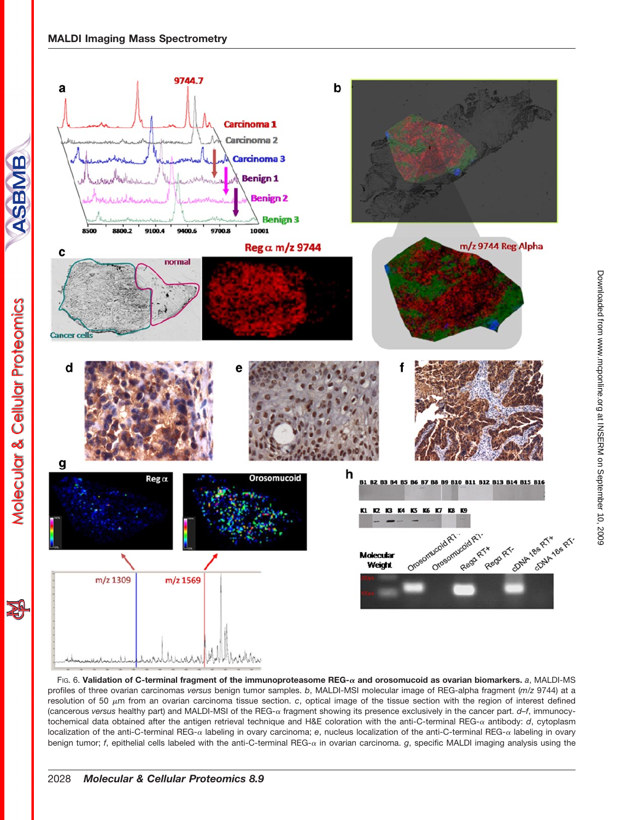# **MALDI Imaging Mass Spectrometry**



localization of the anti-C-terminal REG- $\alpha$  labeling in ovary carcinoma; e, nucleus localization of the anti-C-terminal REG- $\alpha$  labeling in ovary benign tumor; *f*, epithelial cells labeled with the anti-C-terminal REG- $\alpha$  in ovarian carcinoma. *g*, specific MALDI imaging analysis using the

FIG. 6. **Validation of C-terminal fragment of the immunoproteasome REG- and orosomucoid as ovarian biomarkers.** *a*, MALDI-MS profiles of three ovarian carcinomas *versus* benign tumor samples. *b*, MALDI-MSI molecular image of REG-alpha fragment (*m*/*z* 9744) at a resolution of 50 µm from an ovarian carcinoma tissue section. *c*, optical image of the tissue section with the region of interest defined (cancerous *versus* healthy part) and MALDI-MSI of the REG-α fragment showing its presence exclusively in the cancer part. *d–f*, immunocytochemical data obtained after the antigen retrieval technique and H&E coloration with the anti-C-terminal REG- $\alpha$  antibody:  $d$ , cytoplasm

ASBMB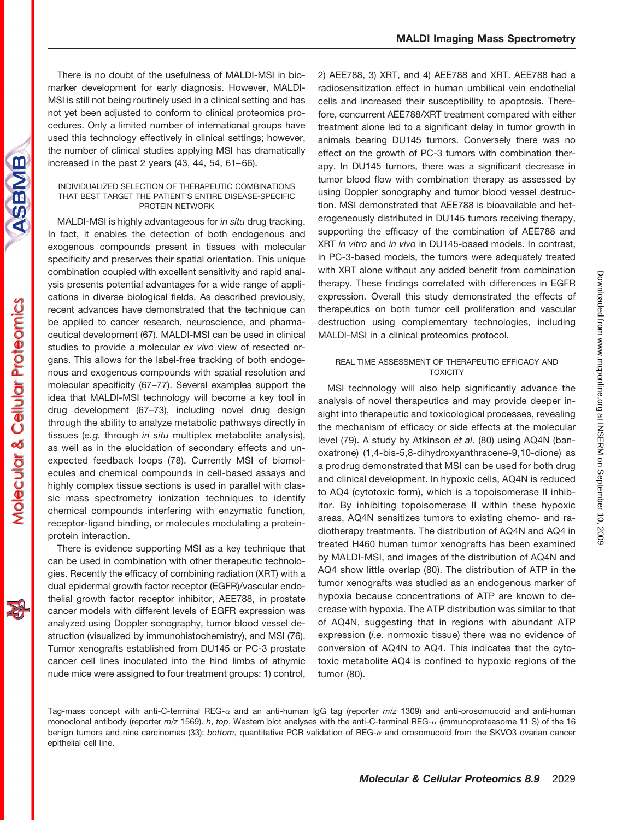There is no doubt of the usefulness of MALDI-MSI in biomarker development for early diagnosis. However, MALDI-MSI is still not being routinely used in a clinical setting and has not yet been adjusted to conform to clinical proteomics procedures. Only a limited number of international groups have used this technology effectively in clinical settings; however, the number of clinical studies applying MSI has dramatically increased in the past 2 years  $(43, 44, 54, 61-66)$ .

#### INDIVIDUALIZED SELECTION OF THERAPEUTIC COMBINATIONS THAT BEST TARGET THE PATIENT'S ENTIRE DISEASE-SPECIFIC PROTEIN NETWORK

MALDI-MSI is highly advantageous for *in situ* drug tracking. In fact, it enables the detection of both endogenous and exogenous compounds present in tissues with molecular specificity and preserves their spatial orientation. This unique combination coupled with excellent sensitivity and rapid analysis presents potential advantages for a wide range of applications in diverse biological fields. As described previously, recent advances have demonstrated that the technique can be applied to cancer research, neuroscience, and pharmaceutical development (67). MALDI-MSI can be used in clinical studies to provide a molecular *ex vivo* view of resected organs. This allows for the label-free tracking of both endogenous and exogenous compounds with spatial resolution and molecular specificity (67–77). Several examples support the idea that MALDI-MSI technology will become a key tool in drug development (67–73), including novel drug design through the ability to analyze metabolic pathways directly in tissues (*e.g.* through *in situ* multiplex metabolite analysis), as well as in the elucidation of secondary effects and unexpected feedback loops (78). Currently MSI of biomolecules and chemical compounds in cell-based assays and highly complex tissue sections is used in parallel with classic mass spectrometry ionization techniques to identify chemical compounds interfering with enzymatic function, receptor-ligand binding, or molecules modulating a proteinprotein interaction.

There is evidence supporting MSI as a key technique that can be used in combination with other therapeutic technologies. Recently the efficacy of combining radiation (XRT) with a dual epidermal growth factor receptor (EGFR)/vascular endothelial growth factor receptor inhibitor, AEE788, in prostate cancer models with different levels of EGFR expression was analyzed using Doppler sonography, tumor blood vessel destruction (visualized by immunohistochemistry), and MSI (76). Tumor xenografts established from DU145 or PC-3 prostate cancer cell lines inoculated into the hind limbs of athymic nude mice were assigned to four treatment groups: 1) control,

2) AEE788, 3) XRT, and 4) AEE788 and XRT. AEE788 had a radiosensitization effect in human umbilical vein endothelial cells and increased their susceptibility to apoptosis. Therefore, concurrent AEE788/XRT treatment compared with either treatment alone led to a significant delay in tumor growth in animals bearing DU145 tumors. Conversely there was no effect on the growth of PC-3 tumors with combination therapy. In DU145 tumors, there was a significant decrease in tumor blood flow with combination therapy as assessed by using Doppler sonography and tumor blood vessel destruction. MSI demonstrated that AEE788 is bioavailable and heterogeneously distributed in DU145 tumors receiving therapy, supporting the efficacy of the combination of AEE788 and XRT *in vitro* and *in vivo* in DU145-based models. In contrast, in PC-3-based models, the tumors were adequately treated with XRT alone without any added benefit from combination therapy. These findings correlated with differences in EGFR expression. Overall this study demonstrated the effects of therapeutics on both tumor cell proliferation and vascular destruction using complementary technologies, including MALDI-MSI in a clinical proteomics protocol.

## REAL TIME ASSESSMENT OF THERAPEUTIC EFFICACY AND **TOXICITY**

MSI technology will also help significantly advance the analysis of novel therapeutics and may provide deeper insight into therapeutic and toxicological processes, revealing the mechanism of efficacy or side effects at the molecular level (79). A study by Atkinson *et al*. (80) using AQ4N (banoxatrone) (1,4-bis-5,8-dihydroxyanthracene-9,10-dione) as a prodrug demonstrated that MSI can be used for both drug and clinical development. In hypoxic cells, AQ4N is reduced to AQ4 (cytotoxic form), which is a topoisomerase II inhibitor. By inhibiting topoisomerase II within these hypoxic areas, AQ4N sensitizes tumors to existing chemo- and radiotherapy treatments. The distribution of AQ4N and AQ4 in treated H460 human tumor xenografts has been examined by MALDI-MSI, and images of the distribution of AQ4N and AQ4 show little overlap (80). The distribution of ATP in the tumor xenografts was studied as an endogenous marker of hypoxia because concentrations of ATP are known to decrease with hypoxia. The ATP distribution was similar to that of AQ4N, suggesting that in regions with abundant ATP expression (*i.e.* normoxic tissue) there was no evidence of conversion of AQ4N to AQ4. This indicates that the cytotoxic metabolite AQ4 is confined to hypoxic regions of the tumor (80).

**ASBMB** 

**Cellular Proteomics** 

Tag-mass concept with anti-C-terminal REG- $\alpha$  and an anti-human IgG tag (reporter *m/z* 1309) and anti-orosomucoid and anti-human monoclonal antibody (reporter *m*/*z* 1569). *h*, *top*, Western blot analyses with the anti-C-terminal REG- $\alpha$  (immunoproteasome 11 S) of the 16 benign tumors and nine carcinomas (33); *bottom*, quantitative PCR validation of REG- $\alpha$  and orosomucoid from the SKVO3 ovarian cancer epithelial cell line.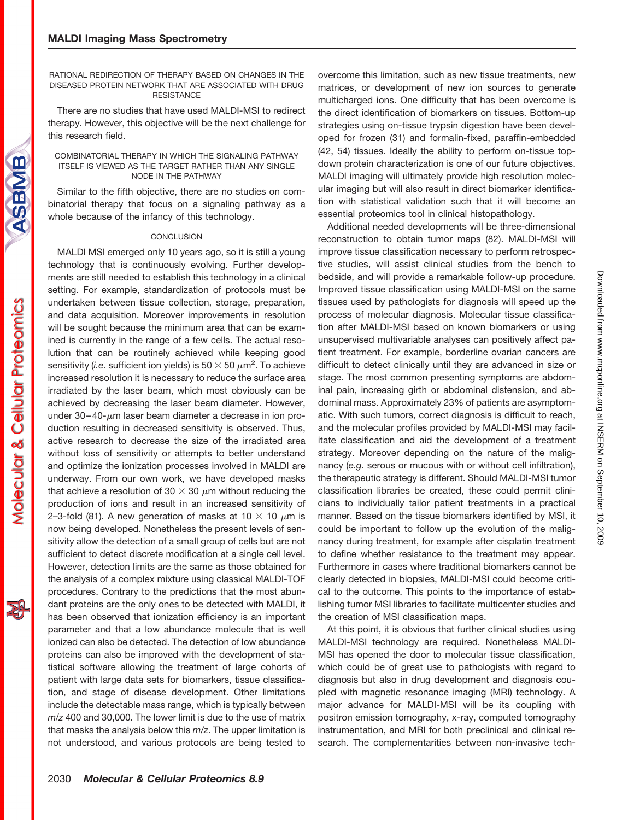RATIONAL REDIRECTION OF THERAPY BASED ON CHANGES IN THE DISEASED PROTEIN NETWORK THAT ARE ASSOCIATED WITH DRUG **RESISTANCE** 

There are no studies that have used MALDI-MSI to redirect therapy. However, this objective will be the next challenge for this research field.

#### COMBINATORIAL THERAPY IN WHICH THE SIGNALING PATHWAY ITSELF IS VIEWED AS THE TARGET RATHER THAN ANY SINGLE NODE IN THE PATHWAY

Similar to the fifth objective, there are no studies on combinatorial therapy that focus on a signaling pathway as a whole because of the infancy of this technology.

#### **CONCLUSION**

MALDI MSI emerged only 10 years ago, so it is still a young technology that is continuously evolving. Further developments are still needed to establish this technology in a clinical setting. For example, standardization of protocols must be undertaken between tissue collection, storage, preparation, and data acquisition. Moreover improvements in resolution will be sought because the minimum area that can be examined is currently in the range of a few cells. The actual resolution that can be routinely achieved while keeping good sensitivity (*i.e.* sufficient ion yields) is 50  $\times$  50  $\mu$ m<sup>2</sup>. To achieve increased resolution it is necessary to reduce the surface area irradiated by the laser beam, which most obviously can be achieved by decreasing the laser beam diameter. However, under 30–40- $\mu$ m laser beam diameter a decrease in ion production resulting in decreased sensitivity is observed. Thus, active research to decrease the size of the irradiated area without loss of sensitivity or attempts to better understand and optimize the ionization processes involved in MALDI are underway. From our own work, we have developed masks that achieve a resolution of 30  $\times$  30  $\mu$ m without reducing the production of ions and result in an increased sensitivity of 2–3-fold (81). A new generation of masks at 10  $\times$  10  $\mu$ m is now being developed. Nonetheless the present levels of sensitivity allow the detection of a small group of cells but are not sufficient to detect discrete modification at a single cell level. However, detection limits are the same as those obtained for the analysis of a complex mixture using classical MALDI-TOF procedures. Contrary to the predictions that the most abundant proteins are the only ones to be detected with MALDI, it has been observed that ionization efficiency is an important parameter and that a low abundance molecule that is well ionized can also be detected. The detection of low abundance proteins can also be improved with the development of statistical software allowing the treatment of large cohorts of patient with large data sets for biomarkers, tissue classification, and stage of disease development. Other limitations include the detectable mass range, which is typically between *m*/*z* 400 and 30,000. The lower limit is due to the use of matrix that masks the analysis below this *m*/*z*. The upper limitation is not understood, and various protocols are being tested to

overcome this limitation, such as new tissue treatments, new matrices, or development of new ion sources to generate multicharged ions. One difficulty that has been overcome is the direct identification of biomarkers on tissues. Bottom-up strategies using on-tissue trypsin digestion have been developed for frozen (31) and formalin-fixed, paraffin-embedded (42, 54) tissues. Ideally the ability to perform on-tissue topdown protein characterization is one of our future objectives. MALDI imaging will ultimately provide high resolution molecular imaging but will also result in direct biomarker identification with statistical validation such that it will become an essential proteomics tool in clinical histopathology.

Additional needed developments will be three-dimensional reconstruction to obtain tumor maps (82). MALDI-MSI will improve tissue classification necessary to perform retrospective studies, will assist clinical studies from the bench to bedside, and will provide a remarkable follow-up procedure. Improved tissue classification using MALDI-MSI on the same tissues used by pathologists for diagnosis will speed up the process of molecular diagnosis. Molecular tissue classification after MALDI-MSI based on known biomarkers or using unsupervised multivariable analyses can positively affect patient treatment. For example, borderline ovarian cancers are difficult to detect clinically until they are advanced in size or stage. The most common presenting symptoms are abdominal pain, increasing girth or abdominal distension, and abdominal mass. Approximately 23% of patients are asymptomatic. With such tumors, correct diagnosis is difficult to reach, and the molecular profiles provided by MALDI-MSI may facilitate classification and aid the development of a treatment strategy. Moreover depending on the nature of the malignancy (*e.g.* serous or mucous with or without cell infiltration), the therapeutic strategy is different. Should MALDI-MSI tumor classification libraries be created, these could permit clinicians to individually tailor patient treatments in a practical manner. Based on the tissue biomarkers identified by MSI, it could be important to follow up the evolution of the malignancy during treatment, for example after cisplatin treatment to define whether resistance to the treatment may appear. Furthermore in cases where traditional biomarkers cannot be clearly detected in biopsies, MALDI-MSI could become critical to the outcome. This points to the importance of establishing tumor MSI libraries to facilitate multicenter studies and the creation of MSI classification maps.

At this point, it is obvious that further clinical studies using MALDI-MSI technology are required. Nonetheless MALDI-MSI has opened the door to molecular tissue classification, which could be of great use to pathologists with regard to diagnosis but also in drug development and diagnosis coupled with magnetic resonance imaging (MRI) technology. A major advance for MALDI-MSI will be its coupling with positron emission tomography, x-ray, computed tomography instrumentation, and MRI for both preclinical and clinical research. The complementarities between non-invasive tech-

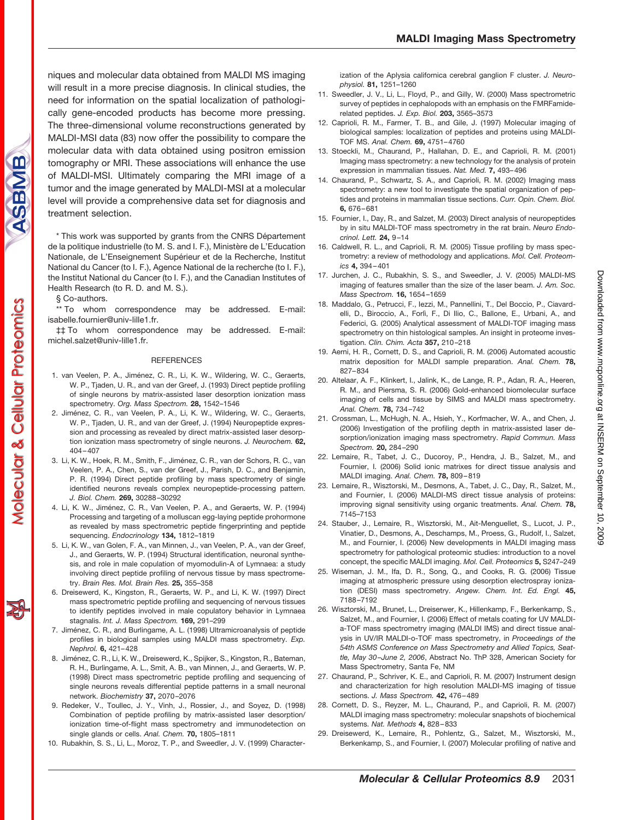niques and molecular data obtained from MALDI MS imaging will result in a more precise diagnosis. In clinical studies, the need for information on the spatial localization of pathologically gene-encoded products has become more pressing. The three-dimensional volume reconstructions generated by MALDI-MSI data (83) now offer the possibility to compare the molecular data with data obtained using positron emission tomography or MRI. These associations will enhance the use of MALDI-MSI. Ultimately comparing the MRI image of a tumor and the image generated by MALDI-MSI at a molecular level will provide a comprehensive data set for diagnosis and treatment selection.

\* This work was supported by grants from the CNRS Département de la politique industrielle (to M. S. and I. F.), Ministère de L'Education Nationale, de L'Enseignement Supérieur et de la Recherche, Institut National du Cancer (to I. F.), Agence National de la recherche (to I. F.), the Institut National du Cancer (to I. F.), and the Canadian Institutes of Health Research (to R. D. and M. S.).

§ Co-authors.

\*\* To whom correspondence may be addressed. E-mail: isabelle.fournier@univ-lille1.fr.

‡‡ To whom correspondence may be addressed. E-mail: michel.salzet@univ-lille1.fr.

#### REFERENCES

- 1. van Veelen, P. A., Jiménez, C. R., Li, K. W., Wildering, W. C., Geraerts, W. P., Tjaden, U. R., and van der Greef, J. (1993) Direct peptide profiling of single neurons by matrix-assisted laser desorption ionization mass spectrometry. *Org. Mass Spectrom.* **28,** 1542–1546
- 2. Jiménez, C. R., van Veelen, P. A., Li, K. W., Wildering, W. C., Geraerts, W. P., Tjaden, U. R., and van der Greef, J. (1994) Neuropeptide expression and processing as revealed by direct matrix-assisted laser desorption ionization mass spectrometry of single neurons. *J. Neurochem.* **62,**  $404 - 407$
- 3. Li, K. W., Hoek, R. M., Smith, F., Jiménez, C. R., van der Schors, R. C., van Veelen, P. A., Chen, S., van der Greef, J., Parish, D. C., and Benjamin, P. R. (1994) Direct peptide profiling by mass spectrometry of single identified neurons reveals complex neuropeptide-processing pattern. *J. Biol. Chem.* **269,** 30288 –30292
- 4. Li, K. W., Jiménez, C. R., Van Veelen, P. A., and Geraerts, W. P. (1994) Processing and targeting of a molluscan egg-laying peptide prohormone as revealed by mass spectrometric peptide fingerprinting and peptide sequencing. *Endocrinology* **134,** 1812–1819
- 5. Li, K. W., van Golen, F. A., van Minnen, J., van Veelen, P. A., van der Greef, J., and Geraerts, W. P. (1994) Structural identification, neuronal synthesis, and role in male copulation of myomodulin-A of Lymnaea: a study involving direct peptide profiling of nervous tissue by mass spectrometry. *Brain Res. Mol. Brain Res.* **25,** 355–358
- 6. Dreisewerd, K., Kingston, R., Geraerts, W. P., and Li, K. W. (1997) Direct mass spectrometric peptide profiling and sequencing of nervous tissues to identify peptides involved in male copulatory behavior in Lymnaea stagnalis. *Int. J. Mass Spectrom.* **169,** 291–299
- 7. Jiménez, C. R., and Burlingame, A. L. (1998) Ultramicroanalysis of peptide profiles in biological samples using MALDI mass spectrometry. *Exp. Nephrol.* **6,** 421– 428
- 8. Jiménez, C. R., Li, K. W., Dreisewerd, K., Spijker, S., Kingston, R., Bateman, R. H., Burlingame, A. L., Smit, A. B., van Minnen, J., and Geraerts, W. P. (1998) Direct mass spectrometric peptide profiling and sequencing of single neurons reveals differential peptide patterns in a small neuronal network. *Biochemistry* **37,** 2070 –2076
- 9. Redeker, V., Toullec, J. Y., Vinh, J., Rossier, J., and Soyez, D. (1998) Combination of peptide profiling by matrix-assisted laser desorption/ ionization time-of-flight mass spectrometry and immunodetection on single glands or cells. *Anal. Chem.* **70,** 1805–1811
- 10. Rubakhin, S. S., Li, L., Moroz, T. P., and Sweedler, J. V. (1999) Character-

ization of the Aplysia californica cerebral ganglion F cluster. *J. Neurophysiol.* **81,** 1251–1260

- 11. Sweedler, J. V., Li, L., Floyd, P., and Gilly, W. (2000) Mass spectrometric survey of peptides in cephalopods with an emphasis on the FMRFamiderelated peptides. *J. Exp. Biol.* **203,** 3565–3573
- 12. Caprioli, R. M., Farmer, T. B., and Gile, J. (1997) Molecular imaging of biological samples: localization of peptides and proteins using MALDI-TOF MS. *Anal. Chem.* **69,** 4751– 4760
- 13. Stoeckli, M., Chaurand, P., Hallahan, D. E., and Caprioli, R. M. (2001) Imaging mass spectrometry: a new technology for the analysis of protein expression in mammalian tissues. *Nat. Med.* **7,** 493– 496
- 14. Chaurand, P., Schwartz, S. A., and Caprioli, R. M. (2002) Imaging mass spectrometry: a new tool to investigate the spatial organization of peptides and proteins in mammalian tissue sections. *Curr. Opin. Chem. Biol.* **6,** 676 – 681
- 15. Fournier, I., Day, R., and Salzet, M. (2003) Direct analysis of neuropeptides by in situ MALDI-TOF mass spectrometry in the rat brain. *Neuro Endocrinol. Lett.* **24,** 9 –14
- 16. Caldwell, R. L., and Caprioli, R. M. (2005) Tissue profiling by mass spectrometry: a review of methodology and applications. *Mol. Cell. Proteomics* **4,** 394 – 401
- 17. Jurchen, J. C., Rubakhin, S. S., and Sweedler, J. V. (2005) MALDI-MS imaging of features smaller than the size of the laser beam. *J. Am. Soc. Mass Spectrom.* **16,** 1654 –1659
- 18. Maddalo, G., Petrucci, F., Iezzi, M., Pannellini, T., Del Boccio, P., Ciavardelli, D., Biroccio, A., Forlì, F., Di Ilio, C., Ballone, E., Urbani, A., and Federici, G. (2005) Analytical assessment of MALDI-TOF imaging mass spectrometry on thin histological samples. An insight in proteome investigation. *Clin. Chim. Acta* **357,** 210 –218
- 19. Aerni, H. R., Cornett, D. S., and Caprioli, R. M. (2006) Automated acoustic matrix deposition for MALDI sample preparation. *Anal. Chem.* **78,** 827– 834
- 20. Altelaar, A. F., Klinkert, I., Jalink, K., de Lange, R. P., Adan, R. A., Heeren, R. M., and Piersma, S. R. (2006) Gold-enhanced biomolecular surface imaging of cells and tissue by SIMS and MALDI mass spectrometry. *Anal. Chem.* **78,** 734 –742
- 21. Crossman, L., McHugh, N. A., Hsieh, Y., Korfmacher, W. A., and Chen, J. (2006) Investigation of the profiling depth in matrix-assisted laser desorption/ionization imaging mass spectrometry. *Rapid Commun. Mass Spectrom.* **20,** 284 –290
- 22. Lemaire, R., Tabet, J. C., Ducoroy, P., Hendra, J. B., Salzet, M., and Fournier, I. (2006) Solid ionic matrixes for direct tissue analysis and MALDI imaging. *Anal. Chem.* **78,** 809 – 819
- 23. Lemaire, R., Wisztorski, M., Desmons, A., Tabet, J. C., Day, R., Salzet, M., and Fournier, I. (2006) MALDI-MS direct tissue analysis of proteins: improving signal sensitivity using organic treatments. *Anal. Chem.* **78,** 7145–7153
- 24. Stauber, J., Lemaire, R., Wisztorski, M., Ait-Menguellet, S., Lucot, J. P., Vinatier, D., Desmons, A., Deschamps, M., Proess, G., Rudolf, I., Salzet, M., and Fournier, I. (2006) New developments in MALDI imaging mass spectrometry for pathological proteomic studies: introduction to a novel concept, the specific MALDI imaging. *Mol. Cell. Proteomics* **5,** S247–249
- 25. Wiseman, J. M., Ifa, D. R., Song, Q., and Cooks, R. G. (2006) Tissue imaging at atmospheric pressure using desorption electrospray ionization (DESI) mass spectrometry. *Angew. Chem. Int. Ed. Engl.* **45,** 7188 –7192
- 26. Wisztorski, M., Brunet, L., Dreiserwer, K., Hillenkamp, F., Berkenkamp, S., Salzet, M., and Fournier, I. (2006) Effect of metals coating for UV MALDIa-TOF mass spectrometry imaging (MALDI IMS) and direct tissue analysis in UV/IR MALDI-o-TOF mass spectrometry, in *Proceedings of the 54th ASMS Conference on Mass Spectrometry and Allied Topics, Seattle, May 30 –June 2, 2006*, Abstract No. ThP 328, American Society for Mass Spectrometry, Santa Fe, NM
- 27. Chaurand, P., Schriver, K. E., and Caprioli, R. M. (2007) Instrument design and characterization for high resolution MALDI-MS imaging of tissue sections. *J. Mass Spectrom.* **42,** 476 – 489
- 28. Cornett, D. S., Reyzer, M. L., Chaurand, P., and Caprioli, R. M. (2007) MALDI imaging mass spectrometry: molecular snapshots of biochemical systems. *Nat. Methods* **4,** 828 – 833
- 29. Dreisewerd, K., Lemaire, R., Pohlentz, G., Salzet, M., Wisztorski, M., Berkenkamp, S., and Fournier, I. (2007) Molecular profiling of native and



**Molecular & Cellular Proteomics**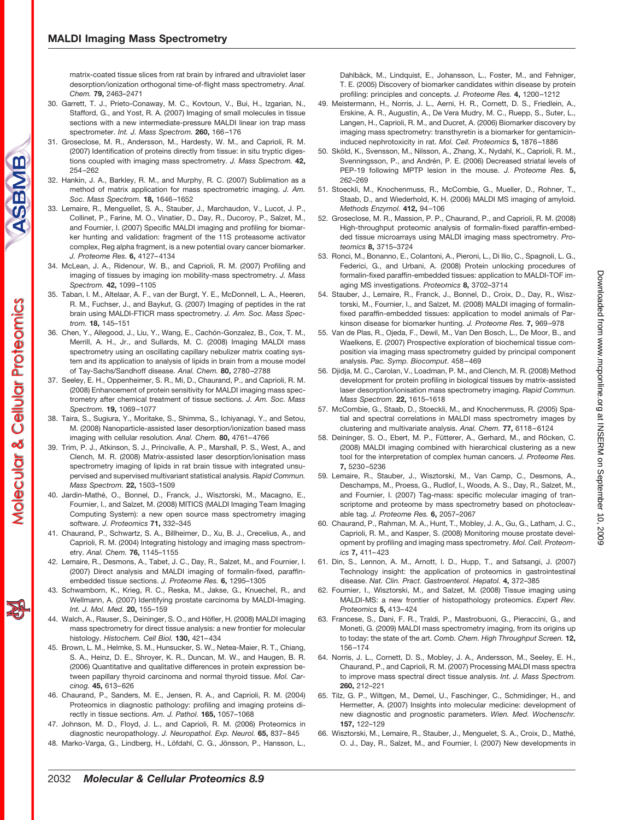matrix-coated tissue slices from rat brain by infrared and ultraviolet laser desorption/ionization orthogonal time-of-flight mass spectrometry. *Anal. Chem.* **79,** 2463–2471

- 30. Garrett, T. J., Prieto-Conaway, M. C., Kovtoun, V., Bui, H., Izgarian, N., Stafford, G., and Yost, R. A. (2007) Imaging of small molecules in tissue sections with a new intermediate-pressure MALDI linear ion trap mass spectrometer. *Int. J. Mass Spectrom.* **260,** 166 –176
- 31. Groseclose, M. R., Andersson, M., Hardesty, W. M., and Caprioli, R. M. (2007) Identification of proteins directly from tissue: in situ tryptic digestions coupled with imaging mass spectrometry. *J. Mass Spectrom.* **42,** 254 –262
- 32. Hankin, J. A., Barkley, R. M., and Murphy, R. C. (2007) Sublimation as a method of matrix application for mass spectrometric imaging. *J. Am. Soc. Mass Spectrom.* **18,** 1646 –1652
- 33. Lemaire, R., Menguellet, S. A., Stauber, J., Marchaudon, V., Lucot, J. P., Collinet, P., Farine, M. O., Vinatier, D., Day, R., Ducoroy, P., Salzet, M., and Fournier, I. (2007) Specific MALDI imaging and profiling for biomarker hunting and validation: fragment of the 11S proteasome activator complex, Reg alpha fragment, is a new potential ovary cancer biomarker. *J. Proteome Res.* **6,** 4127– 4134
- 34. McLean, J. A., Ridenour, W. B., and Caprioli, R. M. (2007) Profiling and imaging of tissues by imaging ion mobility-mass spectrometry. *J. Mass Spectrom.* **42,** 1099 –1105
- 35. Taban, I. M., Altelaar, A. F., van der Burgt, Y. E., McDonnell, L. A., Heeren, R. M., Fuchser, J., and Baykut, G. (2007) Imaging of peptides in the rat brain using MALDI-FTICR mass spectrometry. *J. Am. Soc. Mass Spectrom.* **18,** 145–151
- 36. Chen, Y., Allegood, J., Liu, Y., Wang, E., Cachón-Gonzalez, B., Cox, T. M., Merrill, A. H., Jr., and Sullards, M. C. (2008) Imaging MALDI mass spectrometry using an oscillating capillary nebulizer matrix coating system and its application to analysis of lipids in brain from a mouse model of Tay-Sachs/Sandhoff disease. *Anal. Chem.* **80,** 2780 –2788
- 37. Seeley, E. H., Oppenheimer, S. R., Mi, D., Chaurand, P., and Caprioli, R. M. (2008) Enhancement of protein sensitivity for MALDI imaging mass spectrometry after chemical treatment of tissue sections. *J. Am. Soc. Mass Spectrom.* **19,** 1069 –1077
- 38. Taira, S., Sugiura, Y., Moritake, S., Shimma, S., Ichiyanagi, Y., and Setou, M. (2008) Nanoparticle-assisted laser desorption/ionization based mass imaging with cellular resolution. *Anal. Chem.* **80,** 4761– 4766
- 39. Trim, P. J., Atkinson, S. J., Princivalle, A. P., Marshall, P. S., West, A., and Clench, M. R. (2008) Matrix-assisted laser desorption/ionisation mass spectrometry imaging of lipids in rat brain tissue with integrated unsupervised and supervised multivariant statistical analysis. *Rapid Commun. Mass Spectrom.* **22,** 1503–1509
- 40. Jardin-Mathé, O., Bonnel, D., Franck, J., Wisztorski, M., Macagno, E., Fournier, I., and Salzet, M. (2008) MITICS (MALDI Imaging Team Imaging Computing System): a new open source mass spectrometry imaging software. *J. Proteomics* **71,** 332–345
- 41. Chaurand, P., Schwartz, S. A., Billheimer, D., Xu, B. J., Crecelius, A., and Caprioli, R. M. (2004) Integrating histology and imaging mass spectrometry. *Anal. Chem.* **76,** 1145–1155
- 42. Lemaire, R., Desmons, A., Tabet, J. C., Day, R., Salzet, M., and Fournier, I. (2007) Direct analysis and MALDI imaging of formalin-fixed, paraffinembedded tissue sections. *J. Proteome Res.* **6,** 1295–1305
- 43. Schwamborn, K., Krieg, R. C., Reska, M., Jakse, G., Knuechel, R., and Wellmann, A. (2007) Identifying prostate carcinoma by MALDI-Imaging. *Int. J. Mol. Med.* **20,** 155–159
- 44. Walch, A., Rauser, S., Deininger, S. O., and Höfler, H. (2008) MALDI imaging mass spectrometry for direct tissue analysis: a new frontier for molecular histology. *Histochem. Cell Biol.* **130,** 421– 434
- 45. Brown, L. M., Helmke, S. M., Hunsucker, S. W., Netea-Maier, R. T., Chiang, S. A., Heinz, D. E., Shroyer, K. R., Duncan, M. W., and Haugen, B. R. (2006) Quantitative and qualitative differences in protein expression between papillary thyroid carcinoma and normal thyroid tissue. *Mol. Carcinog.* **45,** 613– 626
- 46. Chaurand, P., Sanders, M. E., Jensen, R. A., and Caprioli, R. M. (2004) Proteomics in diagnostic pathology: profiling and imaging proteins directly in tissue sections. *Am. J. Pathol.* **165,** 1057–1068
- 47. Johnson, M. D., Floyd, J. L., and Caprioli, R. M. (2006) Proteomics in diagnostic neuropathology. *J. Neuropathol. Exp. Neurol.* **65,** 837– 845
- 48. Marko-Varga, G., Lindberg, H., Löfdahl, C. G., Jönsson, P., Hansson, L.,

Dahlbäck, M., Lindquist, E., Johansson, L., Foster, M., and Fehniger, T. E. (2005) Discovery of biomarker candidates within disease by protein profiling: principles and concepts. *J. Proteome Res.* **4,** 1200 –1212

- 49. Meistermann, H., Norris, J. L., Aerni, H. R., Cornett, D. S., Friedlein, A., Erskine, A. R., Augustin, A., De Vera Mudry, M. C., Ruepp, S., Suter, L., Langen, H., Caprioli, R. M., and Ducret, A. (2006) Biomarker discovery by imaging mass spectrometry: transthyretin is a biomarker for gentamicininduced nephrotoxicity in rat. *Mol. Cell. Proteomics* **5,** 1876 –1886
- 50. Sköld, K., Svensson, M., Nilsson, A., Zhang, X., Nydahl, K., Caprioli, R. M., Svenningsson, P., and Andrén, P. E. (2006) Decreased striatal levels of PEP-19 following MPTP lesion in the mouse. *J. Proteome Res.* **5,** 262–269
- 51. Stoeckli, M., Knochenmuss, R., McCombie, G., Mueller, D., Rohner, T., Staab, D., and Wiederhold, K. H. (2006) MALDI MS imaging of amyloid. *Methods Enzymol.* **412,** 94 –106
- 52. Groseclose, M. R., Massion, P. P., Chaurand, P., and Caprioli, R. M. (2008) High-throughput proteomic analysis of formalin-fixed paraffin-embedded tissue microarrays using MALDI imaging mass spectrometry. *Proteomics* **8,** 3715–3724
- 53. Ronci, M., Bonanno, E., Colantoni, A., Pieroni, L., Di Ilio, C., Spagnoli, L. G., Federici, G., and Urbani, A. (2008) Protein unlocking procedures of formalin-fixed paraffin-embedded tissues: application to MALDI-TOF imaging MS investigations. *Proteomics* **8,** 3702–3714
- 54. Stauber, J., Lemaire, R., Franck, J., Bonnel, D., Croix, D., Day, R., Wisztorski, M., Fournier, I., and Salzet, M. (2008) MALDI imaging of formalinfixed paraffin-embedded tissues: application to model animals of Parkinson disease for biomarker hunting. *J. Proteome Res.* **7,** 969 –978
- 55. Van de Plas, R., Ojeda, F., Dewil, M., Van Den Bosch, L., De Moor, B., and Waelkens, E. (2007) Prospective exploration of biochemical tissue composition via imaging mass spectrometry guided by principal component analysis. *Pac. Symp. Biocomput*. 458 – 469
- 56. Djidja, M. C., Carolan, V., Loadman, P. M., and Clench, M. R. (2008) Method development for protein profiling in biological tissues by matrix-assisted laser desorption/ionisation mass spectrometry imaging. *Rapid Commun. Mass Spectrom.* **22,** 1615–1618
- 57. McCombie, G., Staab, D., Stoeckli, M., and Knochenmuss, R. (2005) Spatial and spectral correlations in MALDI mass spectrometry images by clustering and multivariate analysis. *Anal. Chem.* **77,** 6118 – 6124
- 58. Deininger, S. O., Ebert, M. P., Fütterer, A., Gerhard, M., and Röcken, C. (2008) MALDI imaging combined with hierarchical clustering as a new tool for the interpretation of complex human cancers. *J. Proteome Res.* **7,** 5230 –5236
- 59. Lemaire, R., Stauber, J., Wisztorski, M., Van Camp, C., Desmons, A., Deschamps, M., Proess, G., Rudlof, I., Woods, A. S., Day, R., Salzet, M., and Fournier, I. (2007) Tag-mass: specific molecular imaging of transcriptome and proteome by mass spectrometry based on photocleavable tag. *J. Proteome Res.* **6,** 2057–2067
- 60. Chaurand, P., Rahman, M. A., Hunt, T., Mobley, J. A., Gu, G., Latham, J. C., Caprioli, R. M., and Kasper, S. (2008) Monitoring mouse prostate development by profiling and imaging mass spectrometry. *Mol. Cell. Proteomics* **7,** 411– 423
- 61. Din, S., Lennon, A. M., Arnott, I. D., Hupp, T., and Satsangi, J. (2007) Technology insight: the application of proteomics in gastrointestinal disease. *Nat. Clin. Pract. Gastroenterol. Hepatol.* **4,** 372–385
- 62. Fournier, I., Wisztorski, M., and Salzet, M. (2008) Tissue imaging using MALDI-MS: a new frontier of histopathology proteomics. *Expert Rev. Proteomics* **5,** 413– 424
- 63. Francese, S., Dani, F. R., Traldi, P., Mastrobuoni, G., Pieraccini, G., and Moneti, G. (2009) MALDI mass spectrometry imaging, from its origins up to today: the state of the art. *Comb. Chem. High Throughput Screen.* **12,** 156 –174
- 64. Norris, J. L., Cornett, D. S., Mobley, J. A., Andersson, M., Seeley, E. H., Chaurand, P., and Caprioli, R. M. (2007) Processing MALDI mass spectra to improve mass spectral direct tissue analysis. *Int. J. Mass Spectrom.* **260,** 212–221
- 65. Tilz, G. P., Wiltgen, M., Demel, U., Faschinger, C., Schmidinger, H., and Hermetter, A. (2007) Insights into molecular medicine: development of new diagnostic and prognostic parameters. *Wien. Med. Wochenschr.* **157,** 122–129
- 66. Wisztorski, M., Lemaire, R., Stauber, J., Menguelet, S. A., Croix, D., Mathé, O. J., Day, R., Salzet, M., and Fournier, I. (2007) New developments in

Molecular & Cellular Proteomics